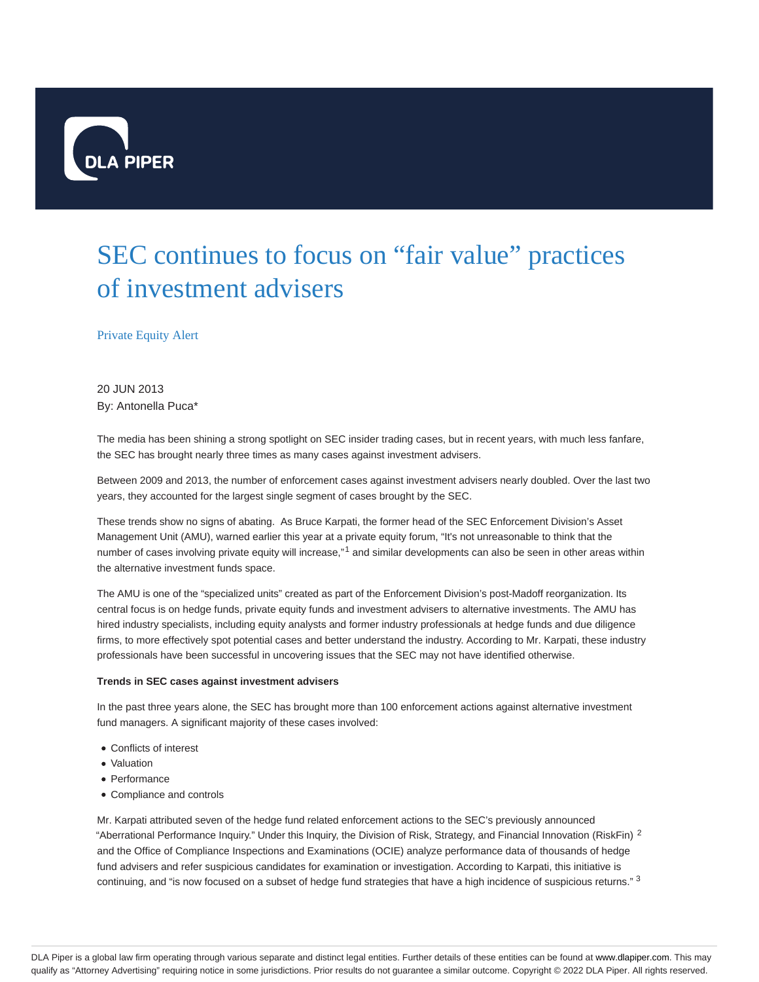

# SEC continues to focus on "fair value" practices of investment advisers

### Private Equity Alert

20 JUN 2013 By: Antonella Puca\*

The media has been shining a strong spotlight on SEC insider trading cases, but in recent years, with much less fanfare, the SEC has brought nearly three times as many cases against investment advisers.

Between 2009 and 2013, the number of enforcement cases against investment advisers nearly doubled. Over the last two years, they accounted for the largest single segment of cases brought by the SEC.

These trends show no signs of abating. As Bruce Karpati, the former head of the SEC Enforcement Division's Asset Management Unit (AMU), warned earlier this year at a private equity forum, "It's not unreasonable to think that the number of cases involving private equity will increase,"<sup>1</sup> and similar developments can also be seen in other areas within the alternative investment funds space.

The AMU is one of the "specialized units" created as part of the Enforcement Division's post-Madoff reorganization. Its central focus is on hedge funds, private equity funds and investment advisers to alternative investments. The AMU has hired industry specialists, including equity analysts and former industry professionals at hedge funds and due diligence firms, to more effectively spot potential cases and better understand the industry. According to Mr. Karpati, these industry professionals have been successful in uncovering issues that the SEC may not have identified otherwise.

#### **Trends in SEC cases against investment advisers**

In the past three years alone, the SEC has brought more than 100 enforcement actions against alternative investment fund managers. A significant majority of these cases involved:

- Conflicts of interest
- Valuation
- Performance
- Compliance and controls

Mr. Karpati attributed seven of the hedge fund related enforcement actions to the SEC's previously announced "Aberrational Performance Inquiry." Under this Inquiry, the Division of Risk, Strategy, and Financial Innovation (RiskFin)  $^2$ and the Office of Compliance Inspections and Examinations (OCIE) analyze performance data of thousands of hedge fund advisers and refer suspicious candidates for examination or investigation. According to Karpati, this initiative is continuing, and "is now focused on a subset of hedge fund strategies that have a high incidence of suspicious returns." 3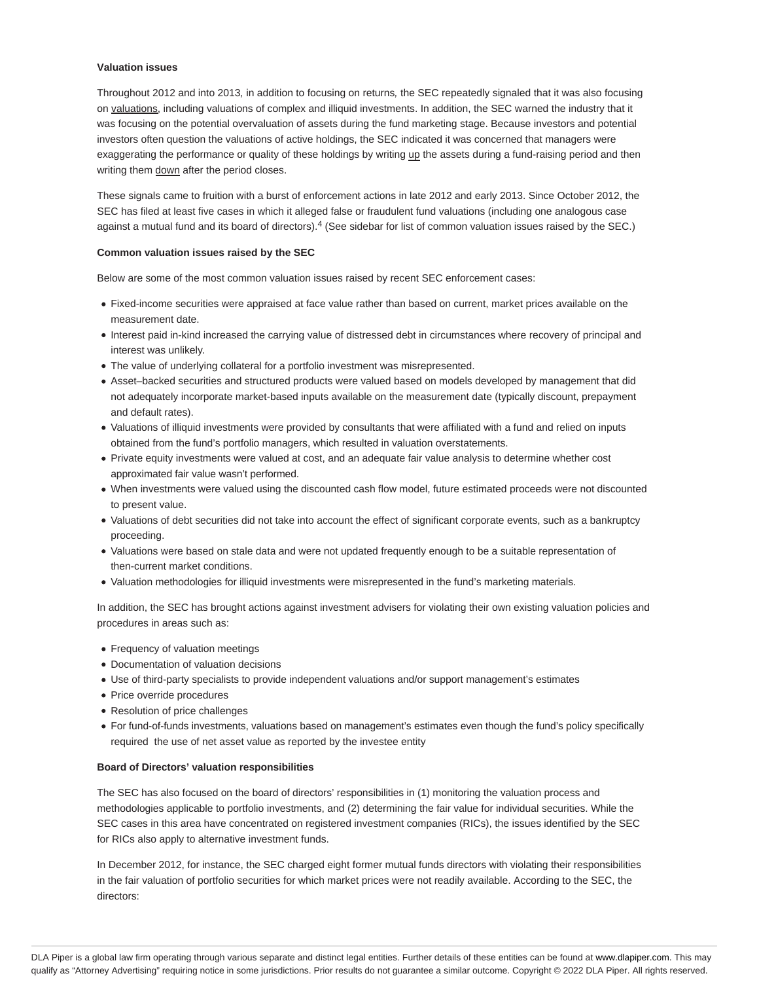#### **Valuation issues**

Throughout 2012 and into 2013, in addition to focusing on returns, the SEC repeatedly signaled that it was also focusing on valuations, including valuations of complex and illiquid investments. In addition, the SEC warned the industry that it was focusing on the potential overvaluation of assets during the fund marketing stage. Because investors and potential investors often question the valuations of active holdings, the SEC indicated it was concerned that managers were exaggerating the performance or quality of these holdings by writing up the assets during a fund-raising period and then writing them down after the period closes.

These signals came to fruition with a burst of enforcement actions in late 2012 and early 2013. Since October 2012, the SEC has filed at least five cases in which it alleged false or fraudulent fund valuations (including one analogous case against a mutual fund and its board of directors).<sup>4</sup> (See sidebar for list of common valuation issues raised by the SEC.)

#### **Common valuation issues raised by the SEC**

Below are some of the most common valuation issues raised by recent SEC enforcement cases:

- Fixed-income securities were appraised at face value rather than based on current, market prices available on the measurement date.
- Interest paid in-kind increased the carrying value of distressed debt in circumstances where recovery of principal and interest was unlikely.
- The value of underlying collateral for a portfolio investment was misrepresented.
- Asset–backed securities and structured products were valued based on models developed by management that did not adequately incorporate market-based inputs available on the measurement date (typically discount, prepayment and default rates).
- Valuations of illiquid investments were provided by consultants that were affiliated with a fund and relied on inputs obtained from the fund's portfolio managers, which resulted in valuation overstatements.
- Private equity investments were valued at cost, and an adequate fair value analysis to determine whether cost approximated fair value wasn't performed.
- When investments were valued using the discounted cash flow model, future estimated proceeds were not discounted to present value.
- Valuations of debt securities did not take into account the effect of significant corporate events, such as a bankruptcy proceeding.
- Valuations were based on stale data and were not updated frequently enough to be a suitable representation of then-current market conditions.
- Valuation methodologies for illiquid investments were misrepresented in the fund's marketing materials.

In addition, the SEC has brought actions against investment advisers for violating their own existing valuation policies and procedures in areas such as:

- Frequency of valuation meetings
- Documentation of valuation decisions
- Use of third-party specialists to provide independent valuations and/or support management's estimates
- Price override procedures
- Resolution of price challenges
- For fund-of-funds investments, valuations based on management's estimates even though the fund's policy specifically required the use of net asset value as reported by the investee entity

#### **Board of Directors' valuation responsibilities**

The SEC has also focused on the board of directors' responsibilities in (1) monitoring the valuation process and methodologies applicable to portfolio investments, and (2) determining the fair value for individual securities. While the SEC cases in this area have concentrated on registered investment companies (RICs), the issues identified by the SEC for RICs also apply to alternative investment funds.

In December 2012, for instance, the SEC charged eight former mutual funds directors with violating their responsibilities in the fair valuation of portfolio securities for which market prices were not readily available. According to the SEC, the directors: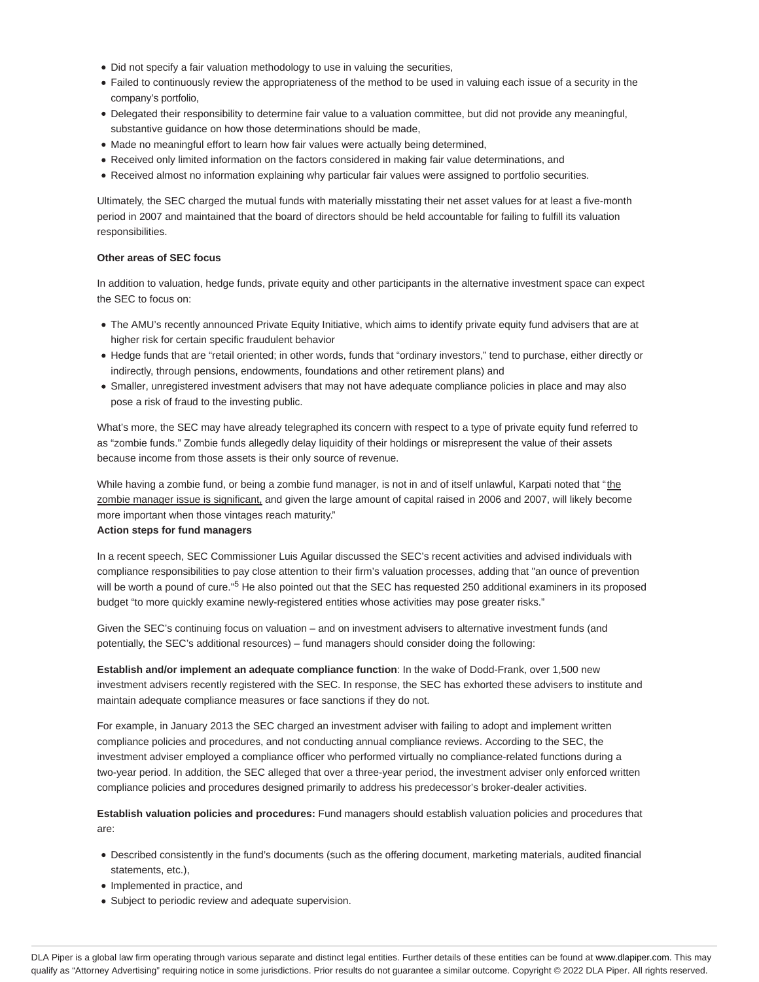- Did not specify a fair valuation methodology to use in valuing the securities,
- Failed to continuously review the appropriateness of the method to be used in valuing each issue of a security in the company's portfolio,
- Delegated their responsibility to determine fair value to a valuation committee, but did not provide any meaningful, substantive guidance on how those determinations should be made,
- Made no meaningful effort to learn how fair values were actually being determined,
- Received only limited information on the factors considered in making fair value determinations, and
- Received almost no information explaining why particular fair values were assigned to portfolio securities.

Ultimately, the SEC charged the mutual funds with materially misstating their net asset values for at least a five-month period in 2007 and maintained that the board of directors should be held accountable for failing to fulfill its valuation responsibilities.

#### **Other areas of SEC focus**

In addition to valuation, hedge funds, private equity and other participants in the alternative investment space can expect the SEC to focus on:

- The AMU's recently announced Private Equity Initiative, which aims to identify private equity fund advisers that are at higher risk for certain specific fraudulent behavior
- Hedge funds that are "retail oriented; in other words, funds that "ordinary investors," tend to purchase, either directly or indirectly, through pensions, endowments, foundations and other retirement plans) and
- Smaller, unregistered investment advisers that may not have adequate compliance policies in place and may also pose a risk of fraud to the investing public.

What's more, the SEC may have already telegraphed its concern with respect to a type of private equity fund referred to as "zombie funds." Zombie funds allegedly delay liquidity of their holdings or misrepresent the value of their assets because income from those assets is their only source of revenue.

While having a zombie fund, or being a zombie fund manager, is not in and of itself unlawful, Karpati noted that "the zombie manager issue is significant, and given the large amount of capital raised in 2006 and 2007, will likely become more important when those vintages reach maturity."

## **Action steps for fund managers**

In a recent speech, SEC Commissioner Luis Aguilar discussed the SEC's recent activities and advised individuals with compliance responsibilities to pay close attention to their firm's valuation processes, adding that "an ounce of prevention will be worth a pound of cure."<sup>5</sup> He also pointed out that the SEC has requested 250 additional examiners in its proposed budget "to more quickly examine newly-registered entities whose activities may pose greater risks."

Given the SEC's continuing focus on valuation – and on investment advisers to alternative investment funds (and potentially, the SEC's additional resources) – fund managers should consider doing the following:

**Establish and/or implement an adequate compliance function**: In the wake of Dodd-Frank, over 1,500 new investment advisers recently registered with the SEC. In response, the SEC has exhorted these advisers to institute and maintain adequate compliance measures or face sanctions if they do not.

For example, in January 2013 the SEC charged an investment adviser with failing to adopt and implement written compliance policies and procedures, and not conducting annual compliance reviews. According to the SEC, the investment adviser employed a compliance officer who performed virtually no compliance-related functions during a two-year period. In addition, the SEC alleged that over a three-year period, the investment adviser only enforced written compliance policies and procedures designed primarily to address his predecessor's broker-dealer activities.

**Establish valuation policies and procedures:** Fund managers should establish valuation policies and procedures that are:

- Described consistently in the fund's documents (such as the offering document, marketing materials, audited financial statements, etc.),
- Implemented in practice, and
- Subject to periodic review and adequate supervision.